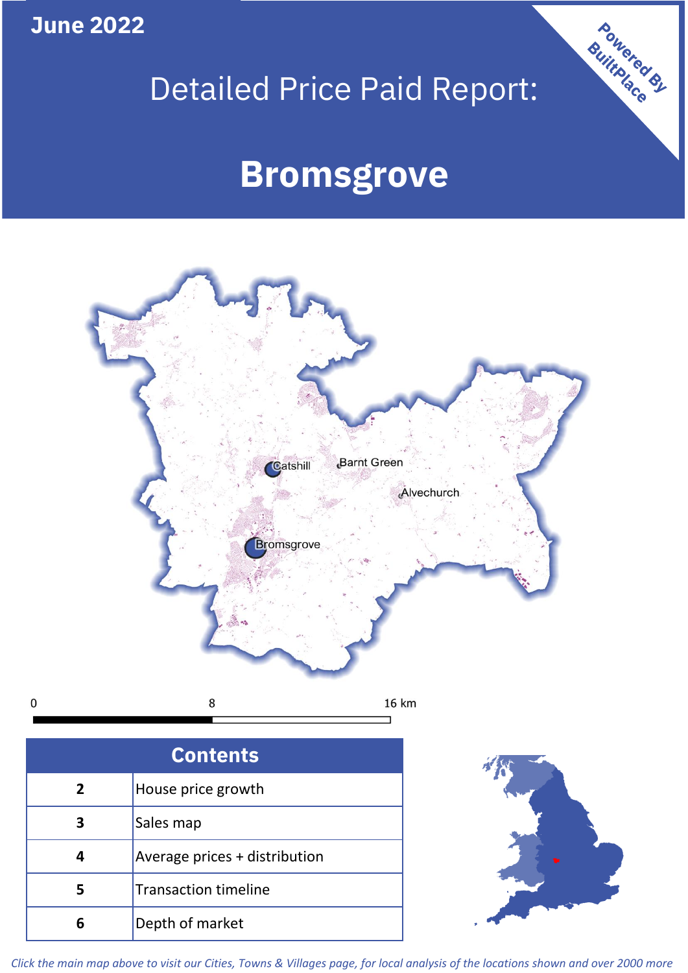**June 2022**

 $\mathbf 0$ 

# Detailed Price Paid Report:

# **Bromsgrove**



| <b>Contents</b> |                               |  |  |
|-----------------|-------------------------------|--|--|
| 2               | House price growth            |  |  |
| 3               | Sales map                     |  |  |
| 4               | Average prices + distribution |  |  |
| 5               | <b>Transaction timeline</b>   |  |  |
|                 | Depth of market               |  |  |



Powered By

*Click the main map above to visit our Cities, Towns & Villages page, for local analysis of the locations shown and over 2000 more*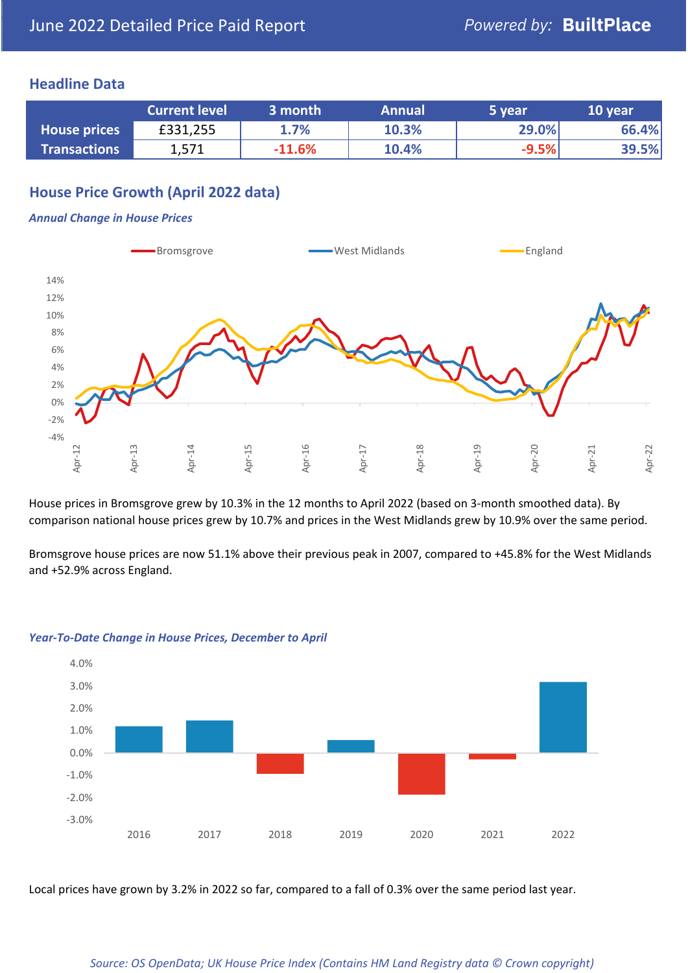#### **Headline Data**

|                     | <b>Current level</b> | 3 month  | <b>Annual</b> | 5 year  | 10 year |
|---------------------|----------------------|----------|---------------|---------|---------|
| <b>House prices</b> | £331,255             | 1.7%     | 10.3%         | 29.0%   | 66.4%   |
| <b>Transactions</b> | 1,571                | $-11.6%$ | 10.4%         | $-9.5%$ | 39.5%   |

# **House Price Growth (April 2022 data)**

#### *Annual Change in House Prices*



House prices in Bromsgrove grew by 10.3% in the 12 months to April 2022 (based on 3-month smoothed data). By comparison national house prices grew by 10.7% and prices in the West Midlands grew by 10.9% over the same period.

Bromsgrove house prices are now 51.1% above their previous peak in 2007, compared to +45.8% for the West Midlands and +52.9% across England.



#### *Year-To-Date Change in House Prices, December to April*

Local prices have grown by 3.2% in 2022 so far, compared to a fall of 0.3% over the same period last year.

#### *Source: OS OpenData; UK House Price Index (Contains HM Land Registry data © Crown copyright)*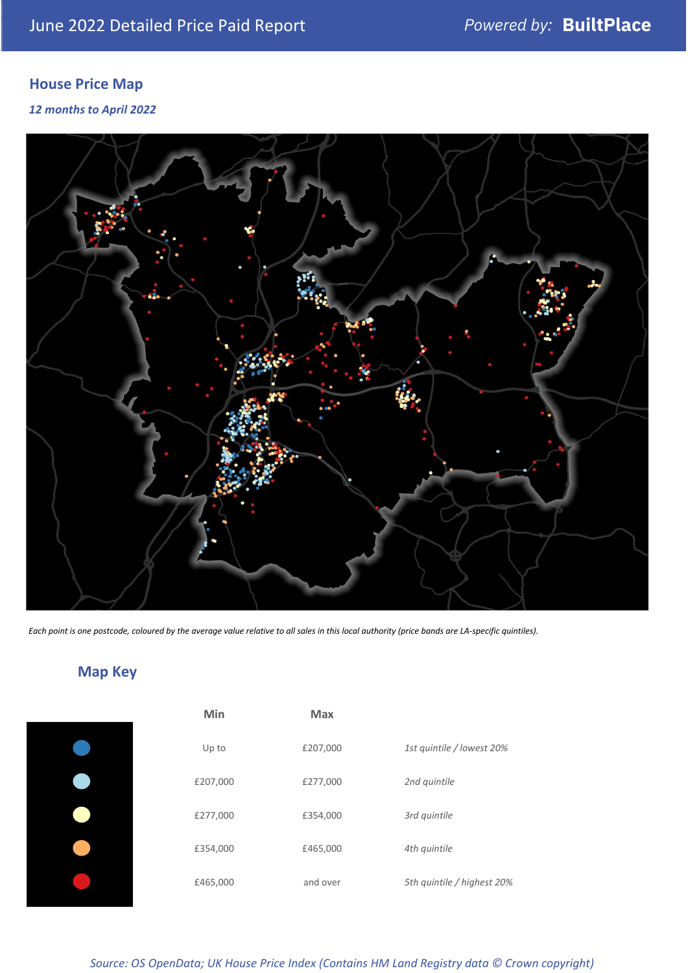# **House Price Map**

*12 months to April 2022*



*Each point is one postcode, coloured by the average value relative to all sales in this local authority (price bands are LA-specific quintiles).*

# **Map Key**

| 1st quintile / lowest 20%  |
|----------------------------|
|                            |
|                            |
|                            |
| 5th quintile / highest 20% |
|                            |

*Source: OS OpenData; UK House Price Index (Contains HM Land Registry data © Crown copyright)*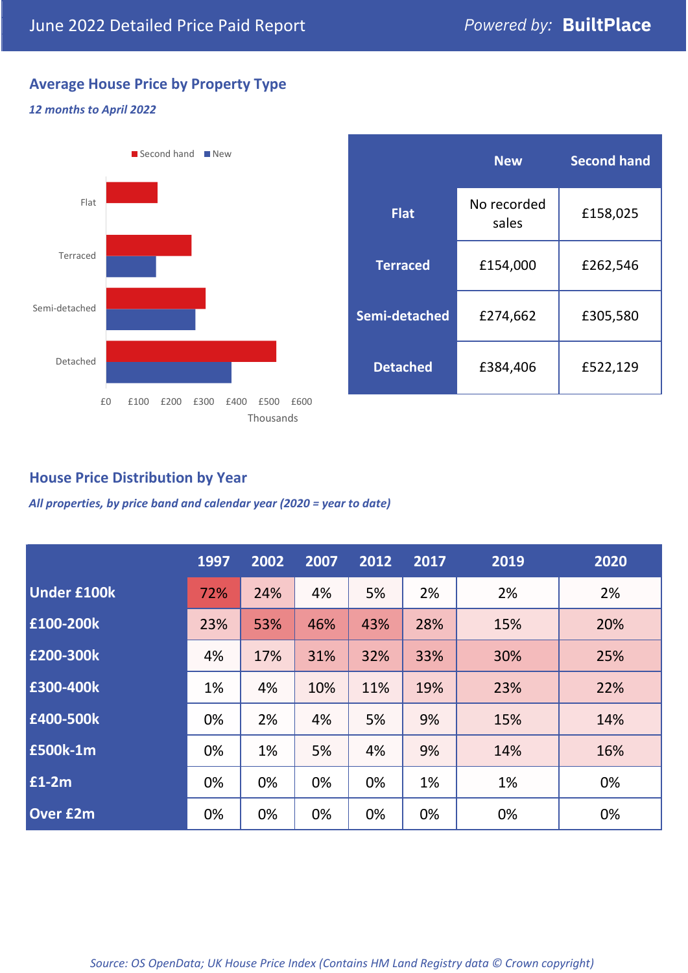# **Average House Price by Property Type**

#### *12 months to April 2022*



|                 | <b>New</b>           | <b>Second hand</b> |  |  |
|-----------------|----------------------|--------------------|--|--|
| <b>Flat</b>     | No recorded<br>sales | £158,025           |  |  |
| <b>Terraced</b> | £154,000             | £262,546           |  |  |
| Semi-detached   | £274,662             | £305,580           |  |  |
| <b>Detached</b> | £384,406             | £522,129           |  |  |

### **House Price Distribution by Year**

*All properties, by price band and calendar year (2020 = year to date)*

|                    | 1997 | 2002 | 2007 | 2012 | 2017 | 2019 | 2020 |
|--------------------|------|------|------|------|------|------|------|
| <b>Under £100k</b> | 72%  | 24%  | 4%   | 5%   | 2%   | 2%   | 2%   |
| £100-200k          | 23%  | 53%  | 46%  | 43%  | 28%  | 15%  | 20%  |
| E200-300k          | 4%   | 17%  | 31%  | 32%  | 33%  | 30%  | 25%  |
| £300-400k          | 1%   | 4%   | 10%  | 11%  | 19%  | 23%  | 22%  |
| £400-500k          | 0%   | 2%   | 4%   | 5%   | 9%   | 15%  | 14%  |
| £500k-1m           | 0%   | 1%   | 5%   | 4%   | 9%   | 14%  | 16%  |
| £1-2m              | 0%   | 0%   | 0%   | 0%   | 1%   | 1%   | 0%   |
| <b>Over £2m</b>    | 0%   | 0%   | 0%   | 0%   | 0%   | 0%   | 0%   |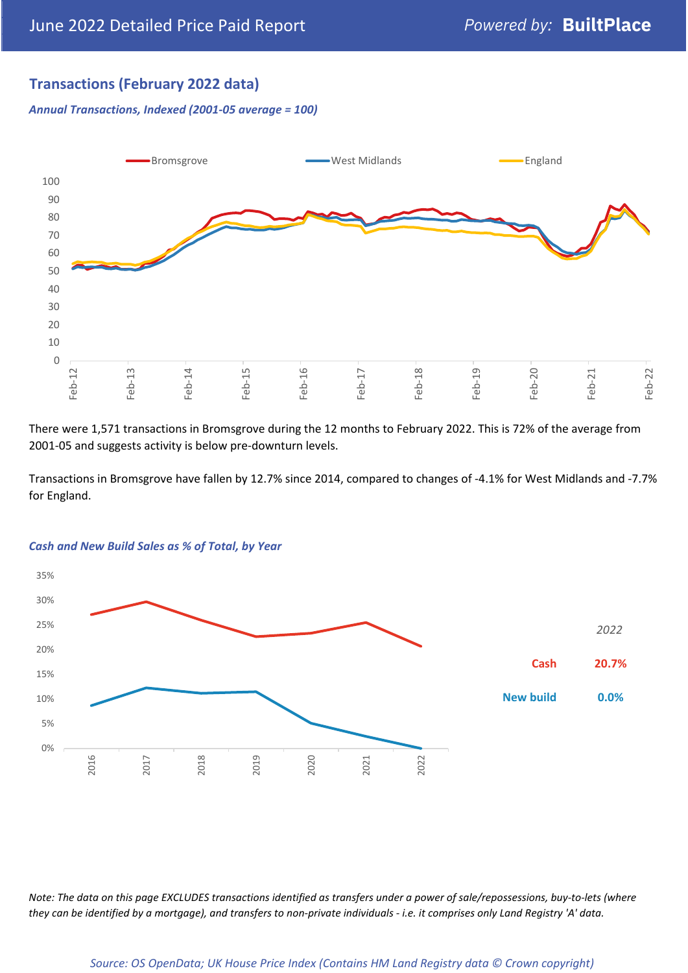# **Transactions (February 2022 data)**

*Annual Transactions, Indexed (2001-05 average = 100)*



There were 1,571 transactions in Bromsgrove during the 12 months to February 2022. This is 72% of the average from 2001-05 and suggests activity is below pre-downturn levels.

Transactions in Bromsgrove have fallen by 12.7% since 2014, compared to changes of -4.1% for West Midlands and -7.7% for England.



#### *Cash and New Build Sales as % of Total, by Year*

*Note: The data on this page EXCLUDES transactions identified as transfers under a power of sale/repossessions, buy-to-lets (where they can be identified by a mortgage), and transfers to non-private individuals - i.e. it comprises only Land Registry 'A' data.*